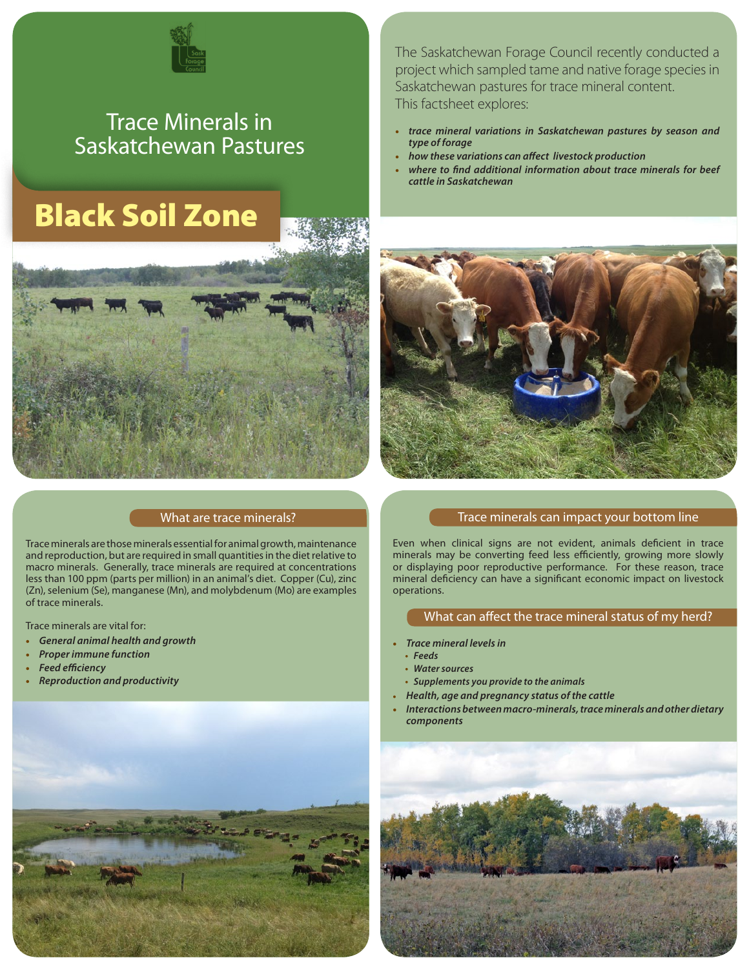

## Trace Minerals in Saskatchewan Pastures

# Black Soil Zone



#### What are trace minerals?

Trace minerals are those minerals essential for animal growth, maintenance and reproduction, but are required in small quantities in the diet relative to macro minerals. Generally, trace minerals are required at concentrations less than 100 ppm (parts per million) in an animal's diet. Copper (Cu), zinc (Zn), selenium (Se), manganese (Mn), and molybdenum (Mo) are examples of trace minerals.

Trace minerals are vital for:

- **•** *General animal health and growth*
- **•** *Proper immune function*
- **•** *Feed efficiency*
- **•** *Reproduction and productivity*



The Saskatchewan Forage Council recently conducted a project which sampled tame and native forage species in Saskatchewan pastures for trace mineral content. This factsheet explores:

- **•** *trace mineral variations in Saskatchewan pastures by season and type of forage*
- **•** *how these variations can affect livestock production*
- **•** *where to find additional information about trace minerals for beef cattle in Saskatchewan*



#### Trace minerals can impact your bottom line

Even when clinical signs are not evident, animals deficient in trace minerals may be converting feed less efficiently, growing more slowly or displaying poor reproductive performance. For these reason, trace mineral deficiency can have a significant economic impact on livestock operations.

#### What can affect the trace mineral status of my herd?

- **•** *Trace mineral levels in*
- **•** *Feeds*
- **•** *Water sources*
- **•** *Supplements you provide to the animals*
- **•** *Health, age and pregnancy status of the cattle*
- **•** *Interactions between macro-minerals, trace minerals and other dietary components*